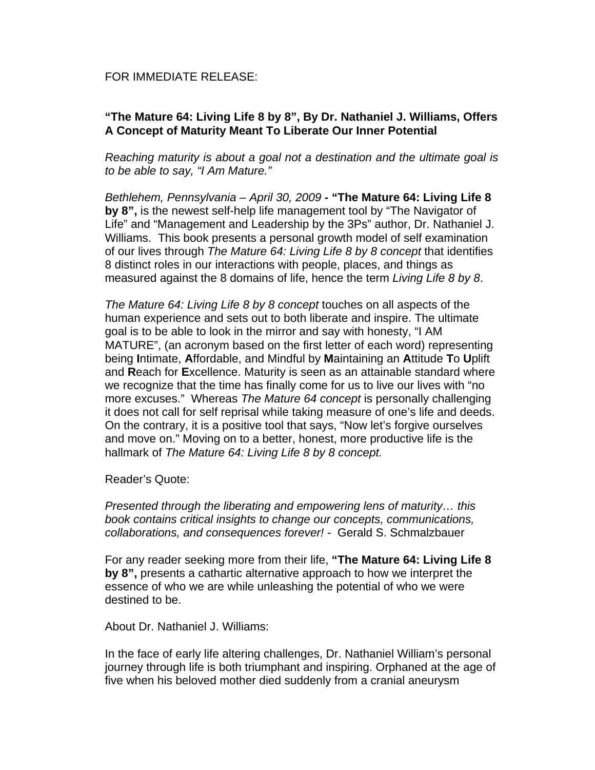## FOR IMMEDIATE RELEASE:

## **"The Mature 64: Living Life 8 by 8", By Dr. Nathaniel J. Williams, Offers A Concept of Maturity Meant To Liberate Our Inner Potential**

*Reaching maturity is about a goal not a destination and the ultimate goal is to be able to say, "I Am Mature."* 

*Bethlehem, Pennsylvania – April 30, 2009* **- "The Mature 64: Living Life 8 by 8",** is the newest self-help life management tool by "The Navigator of Life" and "Management and Leadership by the 3Ps" author, Dr. Nathaniel J. Williams. This book presents a personal growth model of self examination of our lives through *The Mature 64: Living Life 8 by 8 concept* that identifies 8 distinct roles in our interactions with people, places, and things as measured against the 8 domains of life, hence the term *Living Life 8 by 8*.

*The Mature 64: Living Life 8 by 8 concept* touches on all aspects of the human experience and sets out to both liberate and inspire. The ultimate goal is to be able to look in the mirror and say with honesty, "I AM MATURE", (an acronym based on the first letter of each word) representing being **I**ntimate, **A**ffordable, and Mindful by **M**aintaining an **A**ttitude **T**o **U**plift and **R**each for **E**xcellence. Maturity is seen as an attainable standard where we recognize that the time has finally come for us to live our lives with "no more excuses." Whereas *The Mature 64 concept* is personally challenging it does not call for self reprisal while taking measure of one's life and deeds. On the contrary, it is a positive tool that says, "Now let's forgive ourselves and move on." Moving on to a better, honest, more productive life is the hallmark of *The Mature 64: Living Life 8 by 8 concept.*

Reader's Quote:

*Presented through the liberating and empowering lens of maturity… this book contains critical insights to change our concepts, communications, collaborations, and consequences forever! -* Gerald S. Schmalzbauer

For any reader seeking more from their life, **"The Mature 64: Living Life 8 by 8",** presents a cathartic alternative approach to how we interpret the essence of who we are while unleashing the potential of who we were destined to be.

About Dr. Nathaniel J. Williams:

In the face of early life altering challenges, Dr. Nathaniel William's personal journey through life is both triumphant and inspiring. Orphaned at the age of five when his beloved mother died suddenly from a cranial aneurysm